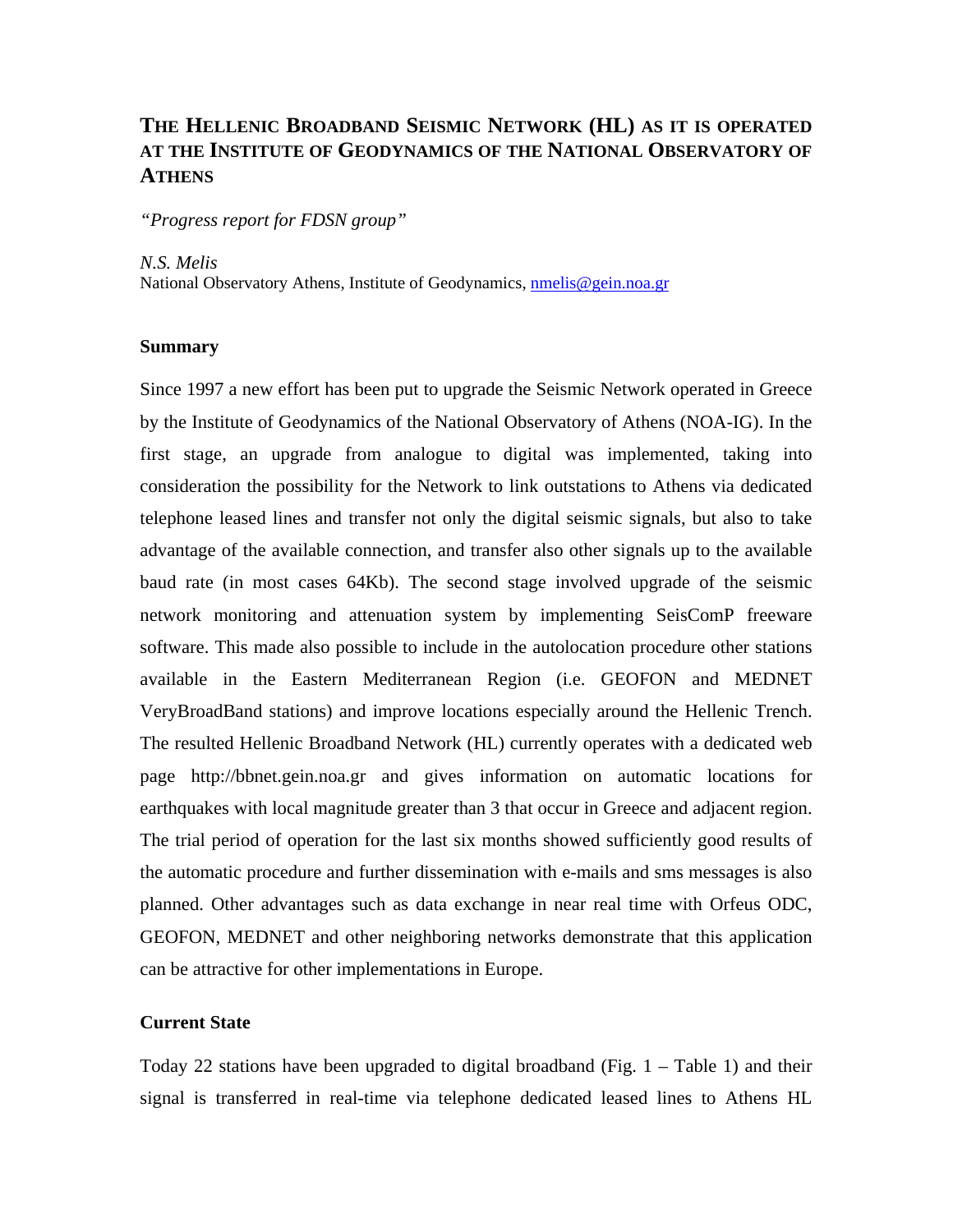## **THE HELLENIC BROADBAND SEISMIC NETWORK (HL) AS IT IS OPERATED AT THE INSTITUTE OF GEODYNAMICS OF THE NATIONAL OBSERVATORY OF ATHENS**

*"Progress report for FDSN group"* 

*N.S. Melis* 

National Observatory Athens, Institute of Geodynamics, [nmelis@gein.noa.gr](mailto:nmelis@gein.noa.gr)

## **Summary**

Since 1997 a new effort has been put to upgrade the Seismic Network operated in Greece by the Institute of Geodynamics of the National Observatory of Athens (NOA-IG). In the first stage, an upgrade from analogue to digital was implemented, taking into consideration the possibility for the Network to link outstations to Athens via dedicated telephone leased lines and transfer not only the digital seismic signals, but also to take advantage of the available connection, and transfer also other signals up to the available baud rate (in most cases 64Kb). The second stage involved upgrade of the seismic network monitoring and attenuation system by implementing SeisComP freeware software. This made also possible to include in the autolocation procedure other stations available in the Eastern Mediterranean Region (i.e. GEOFON and MEDNET VeryBroadBand stations) and improve locations especially around the Hellenic Trench. The resulted Hellenic Broadband Network (HL) currently operates with a dedicated web page http://bbnet.gein.noa.gr and gives information on automatic locations for earthquakes with local magnitude greater than 3 that occur in Greece and adjacent region. The trial period of operation for the last six months showed sufficiently good results of the automatic procedure and further dissemination with e-mails and sms messages is also planned. Other advantages such as data exchange in near real time with Orfeus ODC, GEOFON, MEDNET and other neighboring networks demonstrate that this application can be attractive for other implementations in Europe.

## **Current State**

Today 22 stations have been upgraded to digital broadband (Fig.  $1 -$ Table 1) and their signal is transferred in real-time via telephone dedicated leased lines to Athens HL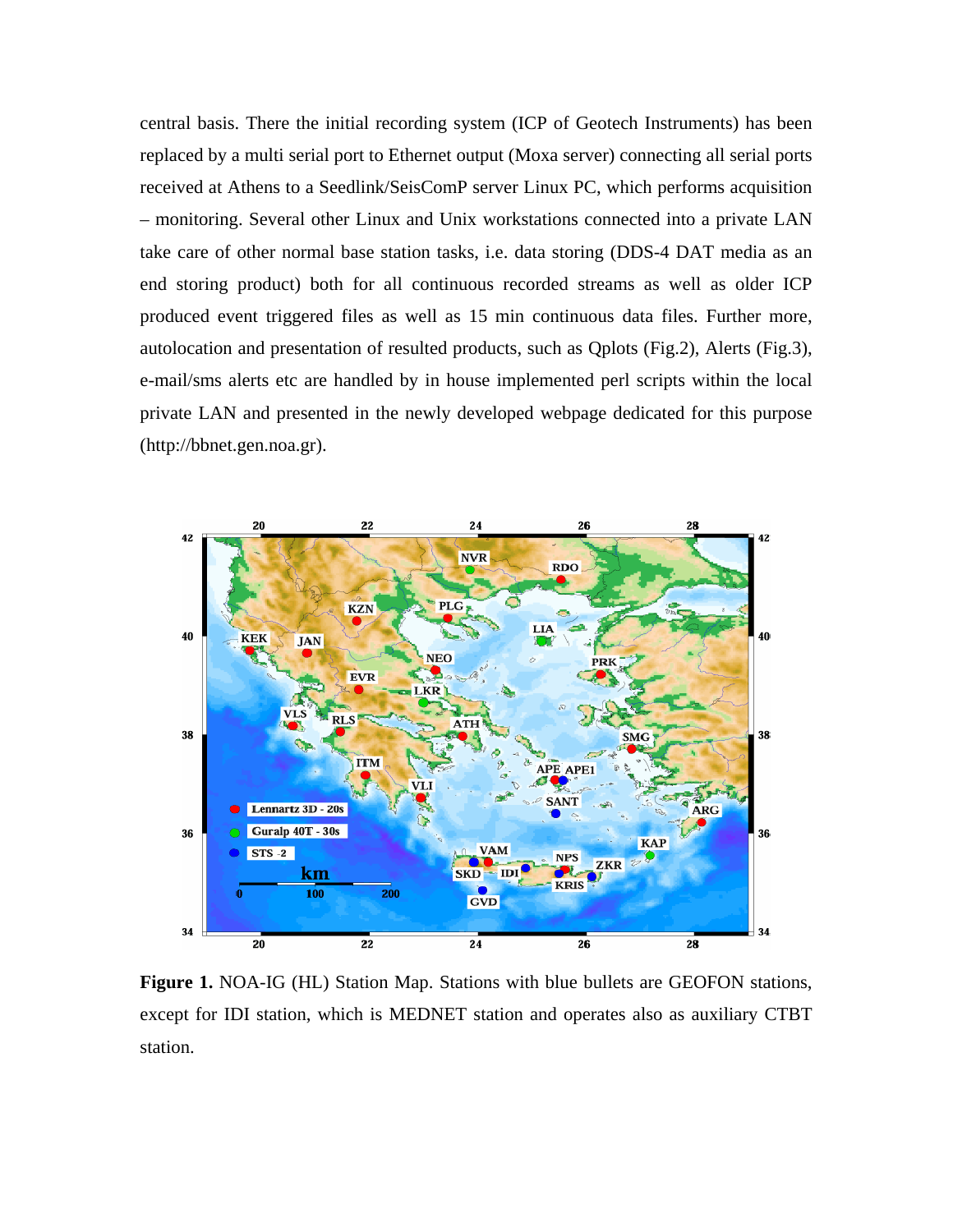central basis. There the initial recording system (ICP of Geotech Instruments) has been replaced by a multi serial port to Ethernet output (Moxa server) connecting all serial ports received at Athens to a Seedlink/SeisComP server Linux PC, which performs acquisition – monitoring. Several other Linux and Unix workstations connected into a private LAN take care of other normal base station tasks, i.e. data storing (DDS-4 DAT media as an end storing product) both for all continuous recorded streams as well as older ICP produced event triggered files as well as 15 min continuous data files. Further more, autolocation and presentation of resulted products, such as Qplots (Fig.2), Alerts (Fig.3), e-mail/sms alerts etc are handled by in house implemented perl scripts within the local private LAN and presented in the newly developed webpage dedicated for this purpose (http://bbnet.gen.noa.gr).



**Figure 1.** NOA-IG (HL) Station Map. Stations with blue bullets are GEOFON stations, except for IDI station, which is MEDNET station and operates also as auxiliary CTBT station.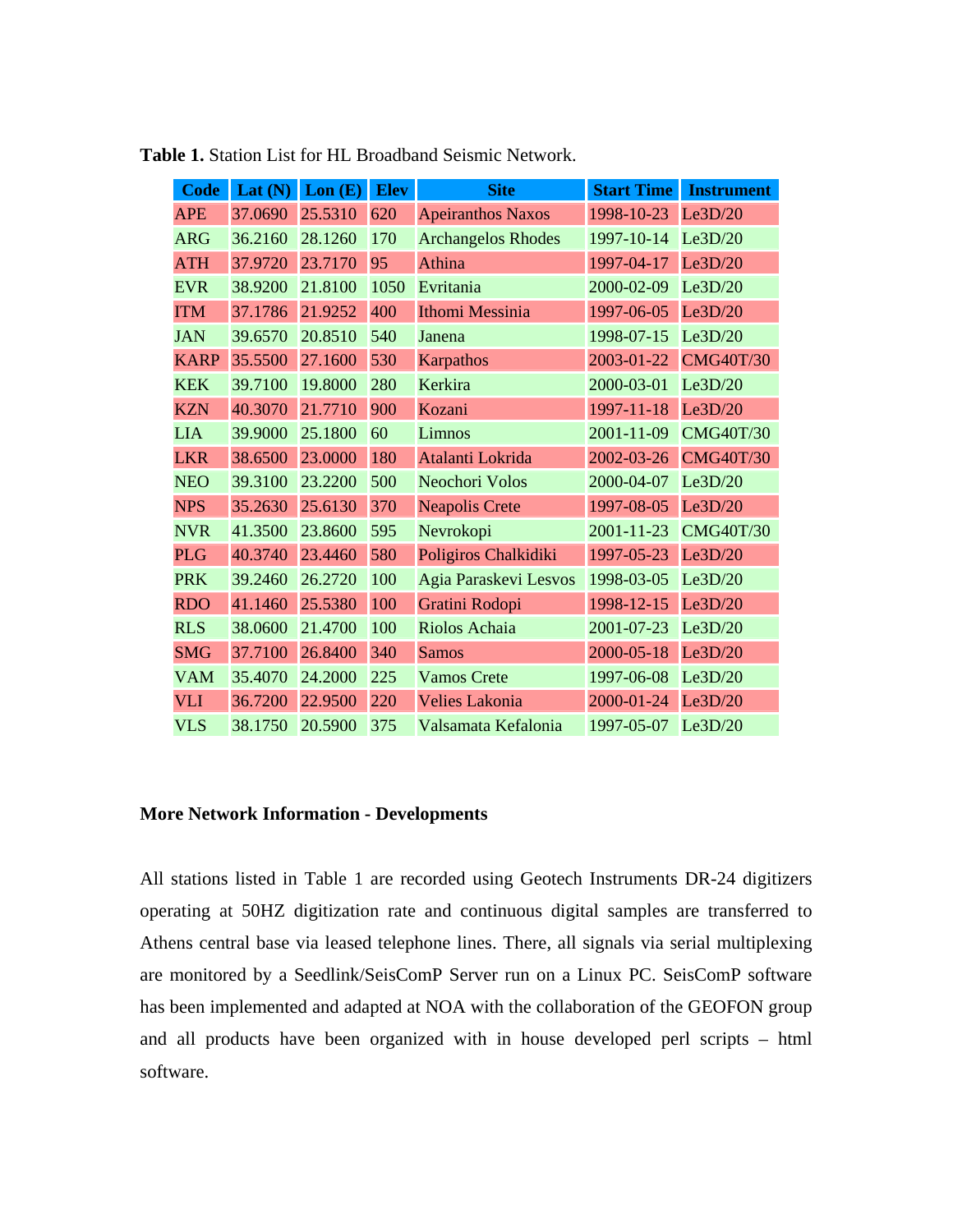| <b>Code</b> | Lat $(N)$ | Lon(E)  | <b>Elev</b> | <b>Site</b>               | <b>Start Time</b> | <b>Instrument</b> |
|-------------|-----------|---------|-------------|---------------------------|-------------------|-------------------|
| <b>APE</b>  | 37.0690   | 25.5310 | 620         | <b>Apeiranthos Naxos</b>  | 1998-10-23        | Le3D/20           |
| <b>ARG</b>  | 36.2160   | 28.1260 | 170         | <b>Archangelos Rhodes</b> | 1997-10-14        | Le3D/20           |
| <b>ATH</b>  | 37.9720   | 23.7170 | 95          | Athina                    | 1997-04-17        | Le3D/20           |
| <b>EVR</b>  | 38.9200   | 21.8100 | 1050        | Evritania                 | 2000-02-09        | Le3D/20           |
| <b>ITM</b>  | 37.1786   | 21.9252 | 400         | Ithomi Messinia           | 1997-06-05        | Le3D/20           |
| <b>JAN</b>  | 39.6570   | 20.8510 | 540         | Janena                    | 1998-07-15        | Le3D/20           |
| <b>KARP</b> | 35.5500   | 27.1600 | 530         | Karpathos                 | 2003-01-22        | <b>CMG40T/30</b>  |
| <b>KEK</b>  | 39.7100   | 19.8000 | 280         | Kerkira                   | 2000-03-01        | Le3D/20           |
| <b>KZN</b>  | 40.3070   | 21.7710 | 900         | Kozani                    | 1997-11-18        | Le3D/20           |
| <b>LIA</b>  | 39.9000   | 25.1800 | 60          | Limnos                    | 2001-11-09        | <b>CMG40T/30</b>  |
| <b>LKR</b>  | 38.6500   | 23.0000 | 180         | Atalanti Lokrida          | 2002-03-26        | <b>CMG40T/30</b>  |
| <b>NEO</b>  | 39.3100   | 23.2200 | 500         | Neochori Volos            | 2000-04-07        | Le3D/20           |
| <b>NPS</b>  | 35.2630   | 25.6130 | 370         | <b>Neapolis Crete</b>     | 1997-08-05        | Le3D/20           |
| <b>NVR</b>  | 41.3500   | 23.8600 | 595         | Nevrokopi                 | 2001-11-23        | <b>CMG40T/30</b>  |
| <b>PLG</b>  | 40.3740   | 23.4460 | 580         | Poligiros Chalkidiki      | 1997-05-23        | Le3D/20           |
| <b>PRK</b>  | 39.2460   | 26.2720 | 100         | Agia Paraskevi Lesvos     | 1998-03-05        | Le3D/20           |
| <b>RDO</b>  | 41.1460   | 25.5380 | 100         | Gratini Rodopi            | 1998-12-15        | Le3D/20           |
| <b>RLS</b>  | 38.0600   | 21.4700 | 100         | Riolos Achaia             | 2001-07-23        | Le3D/20           |
| <b>SMG</b>  | 37.7100   | 26.8400 | 340         | <b>Samos</b>              | 2000-05-18        | Le3D/20           |
| <b>VAM</b>  | 35.4070   | 24.2000 | 225         | <b>Vamos Crete</b>        | 1997-06-08        | Le3D/20           |
| <b>VLI</b>  | 36.7200   | 22.9500 | 220         | <b>Velies Lakonia</b>     | 2000-01-24        | Le3D/20           |
| <b>VLS</b>  | 38.1750   | 20.5900 | 375         | Valsamata Kefalonia       | 1997-05-07        | Le3D/20           |

**Table 1.** Station List for HL Broadband Seismic Network.

## **More Network Information - Developments**

All stations listed in Table 1 are recorded using Geotech Instruments DR-24 digitizers operating at 50HZ digitization rate and continuous digital samples are transferred to Athens central base via leased telephone lines. There, all signals via serial multiplexing are monitored by a Seedlink/SeisComP Server run on a Linux PC. SeisComP software has been implemented and adapted at NOA with the collaboration of the GEOFON group and all products have been organized with in house developed perl scripts – html software.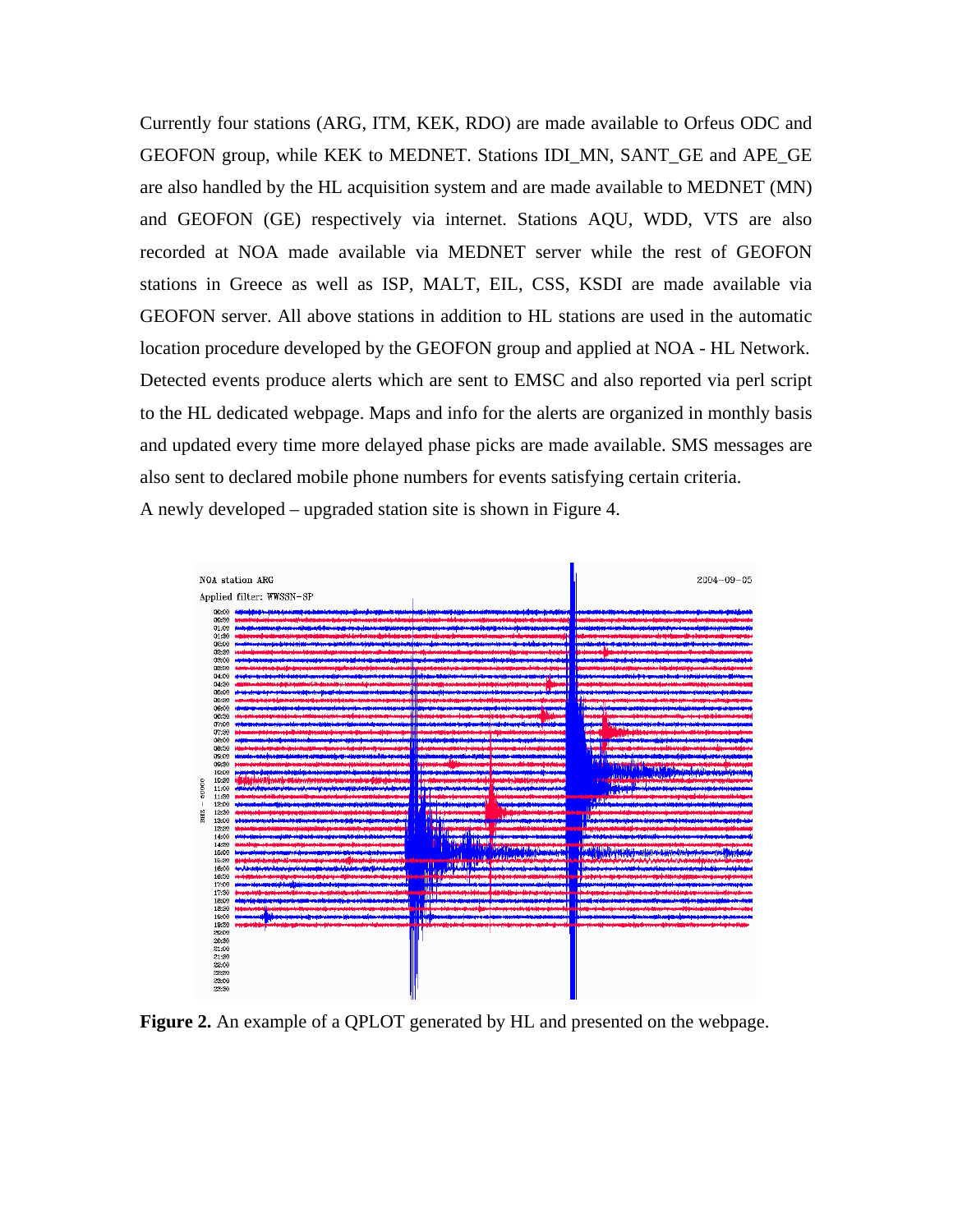Currently four stations (ARG, ITM, KEK, RDO) are made available to Orfeus ODC and GEOFON group, while KEK to MEDNET. Stations IDI\_MN, SANT\_GE and APE\_GE are also handled by the HL acquisition system and are made available to MEDNET (MN) and GEOFON (GE) respectively via internet. Stations AQU, WDD, VTS are also recorded at NOA made available via MEDNET server while the rest of GEOFON stations in Greece as well as ISP, MALT, EIL, CSS, KSDI are made available via GEOFON server. All above stations in addition to HL stations are used in the automatic location procedure developed by the GEOFON group and applied at NOA - HL Network. Detected events produce alerts which are sent to EMSC and also reported via perl script to the HL dedicated webpage. Maps and info for the alerts are organized in monthly basis and updated every time more delayed phase picks are made available. SMS messages are also sent to declared mobile phone numbers for events satisfying certain criteria. A newly developed – upgraded station site is shown in Figure 4.



**Figure 2.** An example of a QPLOT generated by HL and presented on the webpage.